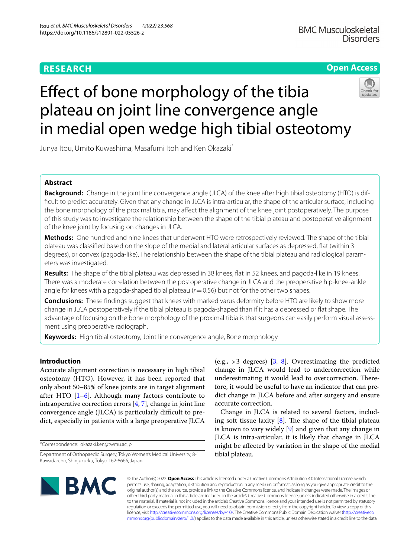# **RESEARCH**

# **Open Access**



# Efect of bone morphology of the tibia plateau on joint line convergence angle in medial open wedge high tibial osteotomy

Junya Itou, Umito Kuwashima, Masafumi Itoh and Ken Okazaki\*

# **Abstract**

**Background:** Change in the joint line convergence angle (JLCA) of the knee after high tibial osteotomy (HTO) is diffcult to predict accurately. Given that any change in JLCA is intra-articular, the shape of the articular surface, including the bone morphology of the proximal tibia, may afect the alignment of the knee joint postoperatively. The purpose of this study was to investigate the relationship between the shape of the tibial plateau and postoperative alignment of the knee joint by focusing on changes in JLCA.

**Methods:** One hundred and nine knees that underwent HTO were retrospectively reviewed. The shape of the tibial plateau was classifed based on the slope of the medial and lateral articular surfaces as depressed, fat (within 3 degrees), or convex (pagoda-like). The relationship between the shape of the tibial plateau and radiological parameters was investigated.

**Results:** The shape of the tibial plateau was depressed in 38 knees, fat in 52 knees, and pagoda-like in 19 knees. There was a moderate correlation between the postoperative change in JLCA and the preoperative hip-knee-ankle angle for knees with a pagoda-shaped tibial plateau ( $r=0.56$ ) but not for the other two shapes.

**Conclusions:** These fndings suggest that knees with marked varus deformity before HTO are likely to show more change in JLCA postoperatively if the tibial plateau is pagoda-shaped than if it has a depressed or fat shape. The advantage of focusing on the bone morphology of the proximal tibia is that surgeons can easily perform visual assessment using preoperative radiograph.

**Keywords:** High tibial osteotomy, Joint line convergence angle, Bone morphology

# **Introduction**

Accurate alignment correction is necessary in high tibial osteotomy (HTO). However, it has been reported that only about 50–85% of knee joints are in target alignment after HTO  $[1-6]$  $[1-6]$  $[1-6]$ . Although many factors contribute to intraoperative correction errors [\[4](#page-5-2), [7](#page-5-3)], change in joint line convergence angle (JLCA) is particularly difficult to predict, especially in patients with a large preoperative JLCA

\*Correspondence: okazaki.ken@twmu.ac.jp

(e.g.,  $>3$  degrees) [[3,](#page-5-4) [8\]](#page-5-5). Overestimating the predicted change in JLCA would lead to undercorrection while underestimating it would lead to overcorrection. Therefore, it would be useful to have an indicator that can predict change in JLCA before and after surgery and ensure accurate correction.

Change in JLCA is related to several factors, including soft tissue laxity  $[8]$  $[8]$ . The shape of the tibial plateau is known to vary widely [[9\]](#page-5-6) and given that any change in JLCA is intra-articular, it is likely that change in JLCA might be afected by variation in the shape of the medial tibial plateau.



© The Author(s) 2022. **Open Access** This article is licensed under a Creative Commons Attribution 4.0 International License, which permits use, sharing, adaptation, distribution and reproduction in any medium or format, as long as you give appropriate credit to the original author(s) and the source, provide a link to the Creative Commons licence, and indicate if changes were made. The images or other third party material in this article are included in the article's Creative Commons licence, unless indicated otherwise in a credit line to the material. If material is not included in the article's Creative Commons licence and your intended use is not permitted by statutory regulation or exceeds the permitted use, you will need to obtain permission directly from the copyright holder. To view a copy of this licence, visit [http://creativecommons.org/licenses/by/4.0/.](http://creativecommons.org/licenses/by/4.0/) The Creative Commons Public Domain Dedication waiver ([http://creativeco](http://creativecommons.org/publicdomain/zero/1.0/) [mmons.org/publicdomain/zero/1.0/](http://creativecommons.org/publicdomain/zero/1.0/)) applies to the data made available in this article, unless otherwise stated in a credit line to the data.

Department of Orthopaedic Surgery, Tokyo Women's Medical University, 8-1 Kawada-cho, Shinjuku-ku, Tokyo 162-8666, Japan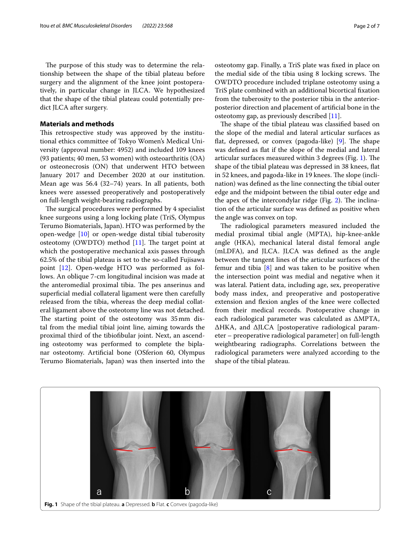The purpose of this study was to determine the relationship between the shape of the tibial plateau before surgery and the alignment of the knee joint postoperatively, in particular change in JLCA. We hypothesized that the shape of the tibial plateau could potentially predict JLCA after surgery.

## **Materials and methods**

This retrospective study was approved by the institutional ethics committee of Tokyo Women's Medical University (approval number: 4952) and included 109 knees (93 patients; 40 men, 53 women) with osteoarthritis (OA) or osteonecrosis (ON) that underwent HTO between January 2017 and December 2020 at our institution. Mean age was 56.4 (32–74) years. In all patients, both knees were assessed preoperatively and postoperatively on full-length weight-bearing radiographs.

The surgical procedures were performed by 4 specialist knee surgeons using a long locking plate (TriS, Olympus Terumo Biomaterials, Japan). HTO was performed by the open-wedge [\[10\]](#page-5-7) or open-wedge distal tibial tuberosity osteotomy (OWDTO) method  $[11]$  $[11]$ . The target point at which the postoperative mechanical axis passes through 62.5% of the tibial plateau is set to the so-called Fujisawa point [\[12\]](#page-5-9). Open-wedge HTO was performed as follows. An oblique 7-cm longitudinal incision was made at the anteromedial proximal tibia. The pes anserinus and superficial medial collateral ligament were then carefully released from the tibia, whereas the deep medial collateral ligament above the osteotomy line was not detached. The starting point of the osteotomy was 35mm distal from the medial tibial joint line, aiming towards the proximal third of the tibiofbular joint. Next, an ascending osteotomy was performed to complete the biplanar osteotomy. Artifcial bone (OSferion 60, Olympus Terumo Biomaterials, Japan) was then inserted into the osteotomy gap. Finally, a TriS plate was fxed in place on the medial side of the tibia using 8 locking screws. The OWDTO procedure included triplane osteotomy using a TriS plate combined with an additional bicortical fxation from the tuberosity to the posterior tibia in the anteriorposterior direction and placement of artifcial bone in the osteotomy gap, as previously described [\[11](#page-5-8)].

The shape of the tibial plateau was classified based on the slope of the medial and lateral articular surfaces as flat, depressed, or convex (pagoda-like) [\[9](#page-5-6)]. The shape was defned as fat if the slope of the medial and lateral articular surfaces measured within 3 degrees (Fig. [1](#page-1-0)). The shape of the tibial plateau was depressed in 38 knees, fat in 52 knees, and pagoda-like in 19 knees. The slope (inclination) was defned as the line connecting the tibial outer edge and the midpoint between the tibial outer edge and the apex of the intercondylar ridge (Fig.  $2$ ). The inclination of the articular surface was defned as positive when the angle was convex on top.

The radiological parameters measured included the medial proximal tibial angle (MPTA), hip-knee-ankle angle (HKA), mechanical lateral distal femoral angle (mLDFA), and JLCA. JLCA was defned as the angle between the tangent lines of the articular surfaces of the femur and tibia  $[8]$  $[8]$  and was taken to be positive when the intersection point was medial and negative when it was lateral. Patient data, including age, sex, preoperative body mass index, and preoperative and postoperative extension and fexion angles of the knee were collected from their medical records. Postoperative change in each radiological parameter was calculated as ΔMPTA, ΔHKA, and ΔJLCA [postoperative radiological parameter – preoperative radiological parameter] on full-length weightbearing radiographs. Correlations between the radiological parameters were analyzed according to the shape of the tibial plateau.

<span id="page-1-0"></span>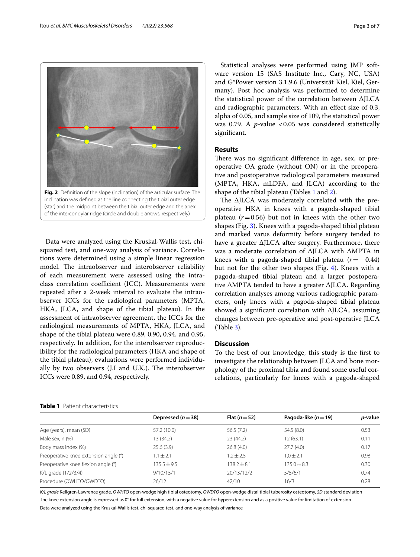Data were analyzed using the Kruskal-Wallis test, chisquared test, and one-way analysis of variance. Correlations were determined using a simple linear regression model. The intraobserver and interobserver reliability of each measurement were assessed using the intraclass correlation coefficient (ICC). Measurements were repeated after a 2-week interval to evaluate the intraobserver ICCs for the radiological parameters (MPTA, HKA, JLCA, and shape of the tibial plateau). In the assessment of intraobserver agreement, the ICCs for the radiological measurements of MPTA, HKA, JLCA, and shape of the tibial plateau were 0.89, 0.90, 0.94, and 0.95, respectively. In addition, for the interobserver reproducibility for the radiological parameters (HKA and shape of the tibial plateau), evaluations were performed individually by two observers (J.I and U.K.). The interobserver ICCs were 0.89, and 0.94, respectively.

Statistical analyses were performed using JMP software version 15 (SAS Institute Inc., Cary, NC, USA) and G\*Power version 3.1.9.6 (Universität Kiel, Kiel, Germany). Post hoc analysis was performed to determine the statistical power of the correlation between ΔJLCA and radiographic parameters. With an efect size of 0.3, alpha of 0.05, and sample size of 109, the statistical power was 0.79. A *p*-value <0.05 was considered statistically signifcant.

# **Results**

There was no significant difference in age, sex, or preoperative OA grade (without ON) or in the preoperative and postoperative radiological parameters measured (MPTA, HKA, mLDFA, and JLCA) according to the shape of the tibial plateau (Tables [1](#page-2-1) and [2\)](#page-3-0).

The  $\Delta$ JLCA was moderately correlated with the preoperative HKA in knees with a pagoda-shaped tibial plateau  $(r=0.56)$  but not in knees with the other two shapes (Fig. [3](#page-3-1)). Knees with a pagoda-shaped tibial plateau and marked varus deformity before surgery tended to have a greater ΔJLCA after surgery. Furthermore, there was a moderate correlation of ΔJLCA with ΔMPTA in knees with a pagoda-shaped tibial plateau (*r*=−0.44) but not for the other two shapes (Fig. [4](#page-3-2)). Knees with a pagoda-shaped tibial plateau and a larger postoperative ΔMPTA tended to have a greater ΔJLCA. Regarding correlation analyses among various radiographic parameters, only knees with a pagoda-shaped tibial plateau showed a signifcant correlation with ΔJLCA, assuming changes between pre-operative and post-operative JLCA (Table [3\)](#page-4-0).

## **Discussion**

To the best of our knowledge, this study is the frst to investigate the relationship between JLCA and bone morphology of the proximal tibia and found some useful correlations, particularly for knees with a pagoda-shaped

|  |   |             | ٠ | ٠           |  |
|--|---|-------------|---|-------------|--|
|  |   |             |   |             |  |
|  | ٠ | Æ<br>٠<br>٠ |   | m<br>٠<br>٠ |  |
|  |   |             |   |             |  |

<span id="page-2-0"></span>inclination was defned as the line connecting the tibial outer edge (star) and the midpoint between the tibial outer edge and the apex of the intercondylar ridge (circle and double arrows, respectively)

<span id="page-2-1"></span>

|  | <b>Table 1</b> Patient characteristics |
|--|----------------------------------------|
|  |                                        |

*K/L grade* Kellgren-Lawrence grade, *OWHTO* open-wedge high tibial osteotomy, *OWDTO* open-wedge distal tibial tuberosity osteotomy, *SD* standard deviation The knee extension angle is expressed as 0° for full extension, with a negative value for hyperextension and as a positive value for limitation of extension Data were analyzed using the Kruskal-Wallis test, chi-squared test, and one-way analysis of variance

| <b>IGINIC I</b> TOURTH CHRISTIAN CONTROL |                    |                 |                          |         |  |  |  |  |
|------------------------------------------|--------------------|-----------------|--------------------------|---------|--|--|--|--|
|                                          | Depressed $(n=38)$ | Flat $(n=52)$   | Pagoda-like ( $n = 19$ ) | p-value |  |  |  |  |
| Age (years), mean (SD)                   | 57.2 (10.0)        | 56.5(7.2)       | 54.5(8.0)                | 0.53    |  |  |  |  |
| Male sex, n (%)                          | 13 (34.2)          | 23(44.2)        | 12(63.1)                 | 0.11    |  |  |  |  |
| Body mass index (%)                      | 25.6(3.9)          | 26.8(4.0)       | 27.7(4.0)                | 0.17    |  |  |  |  |
| Preoperative knee extension angle (°)    | $1.1 \pm 2.1$      | $1.2 \pm 2.5$   | $1.0 \pm 2.1$            | 0.98    |  |  |  |  |
| Preoperative knee flexion angle (°)      | $135.5 \pm 9.5$    | $138.2 \pm 8.1$ | $135.0 \pm 8.3$          | 0.30    |  |  |  |  |
| K/L grade (1/2/3/4)                      | 9/10/15/1          | 20/13/12/2      | 5/5/6/1                  | 0.74    |  |  |  |  |
| Procedure (OWHTO/OWDTO)                  | 26/12              | 42/10           | 16/3                     | 0.28    |  |  |  |  |
|                                          |                    |                 |                          |         |  |  |  |  |

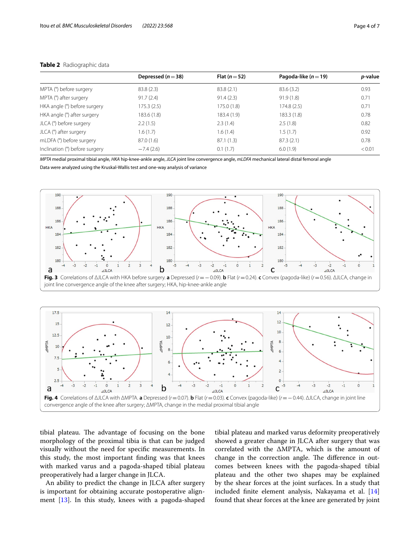|                                | Depressed $(n=38)$ | Flat $(n=52)$ | Pagoda-like ( $n = 19$ ) | <i>p</i> -value |
|--------------------------------|--------------------|---------------|--------------------------|-----------------|
| MPTA (°) before surgery        | 83.8(2.3)          | 83.8(2.1)     | 83.6(3.2)                | 0.93            |
| MPTA (°) after surgery         | 91.7(2.4)          | 91.4(2.3)     | 91.9(1.8)                | 0.71            |
| HKA angle (°) before surgery   | 175.3(2.5)         | 175.0(1.8)    | 174.8(2.5)               | 0.71            |
| HKA angle (°) after surgery    | 183.6(1.8)         | 183.4 (1.9)   | 183.3(1.8)               | 0.78            |
| JLCA (°) before surgery        | 2.2(1.5)           | 2.3(1.4)      | 2.5(1.8)                 | 0.82            |
| JLCA (°) after surgery         | 1.6(1.7)           | 1.6(1.4)      | 1.5(1.7)                 | 0.92            |
| mLDFA (°) before surgery       | 87.0(1.6)          | 87.1(1.3)     | 87.3(2.1)                | 0.78            |
| Inclination (°) before surgery | $-7.4(2.6)$        | 0.1(1.7)      | 6.0(1.9)                 | < 0.01          |

## <span id="page-3-0"></span>**Table 2** Radiographic data

*MPTA* medial proximal tibial angle, *HKA* hip-knee-ankle angle, *JLCA* joint line convergence angle, *mLDFA* mechanical lateral distal femoral angle

Data were analyzed using the Kruskal-Wallis test and one-way analysis of variance



<span id="page-3-1"></span>

<span id="page-3-2"></span>tibial plateau. The advantage of focusing on the bone morphology of the proximal tibia is that can be judged visually without the need for specifc measurements. In this study, the most important fnding was that knees with marked varus and a pagoda-shaped tibial plateau preoperatively had a larger change in JLCA.

An ability to predict the change in JLCA after surgery is important for obtaining accurate postoperative alignment [[13\]](#page-6-0). In this study, knees with a pagoda-shaped

tibial plateau and marked varus deformity preoperatively showed a greater change in JLCA after surgery that was correlated with the ΔMPTA, which is the amount of change in the correction angle. The difference in outcomes between knees with the pagoda-shaped tibial plateau and the other two shapes may be explained by the shear forces at the joint surfaces. In a study that included fnite element analysis, Nakayama et al. [[14](#page-6-1)] found that shear forces at the knee are generated by joint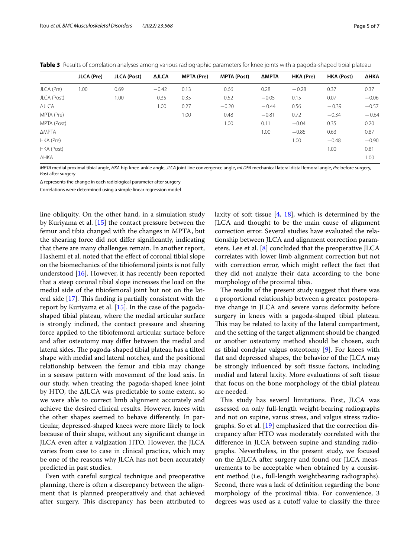<span id="page-4-0"></span>

|  | Table 3 Results of correlation analyses among various radiographic parameters for knee joints with a pagoda-shaped tibial plateau |  |  |  |  |  |  |  |  |
|--|-----------------------------------------------------------------------------------------------------------------------------------|--|--|--|--|--|--|--|--|
|--|-----------------------------------------------------------------------------------------------------------------------------------|--|--|--|--|--|--|--|--|

|              | JLCA (Pre) | JLCA (Post) | <b>AJLCA</b> | MPTA (Pre) | <b>MPTA (Post)</b> | ΔΜΡΤΑ   | HKA (Pre) | HKA (Post) | ΔΗΚΑ    |
|--------------|------------|-------------|--------------|------------|--------------------|---------|-----------|------------|---------|
| JLCA (Pre)   | 1.00       | 0.69        | $-0.42$      | 0.13       | 0.66               | 0.28    | $-0.28$   | 0.37       | 0.37    |
| JLCA (Post)  |            | 1.00        | 0.35         | 0.35       | 0.52               | $-0.05$ | 0.15      | 0.07       | $-0.06$ |
| <b>AJLCA</b> |            |             | 1.00         | 0.27       | $-0.20$            | $-0.44$ | 0.56      | $-0.39$    | $-0.57$ |
| MPTA (Pre)   |            |             |              | 1.00       | 0.48               | $-0.81$ | 0.72      | $-0.34$    | $-0.64$ |
| MPTA (Post)  |            |             |              |            | 1.00               | 0.11    | $-0.04$   | 0.35       | 0.20    |
| <b>AMPTA</b> |            |             |              |            |                    | 1.00    | $-0.85$   | 0.63       | 0.87    |
| HKA (Pre)    |            |             |              |            |                    |         | 1.00      | $-0.48$    | $-0.90$ |
| HKA (Post)   |            |             |              |            |                    |         |           | 1.00       | 0.81    |
| ∆НКА         |            |             |              |            |                    |         |           |            | 1.00    |

*MPTA* medial proximal tibial angle, *HKA* hip-knee-ankle angle, *JLCA* joint line convergence angle, *mLDFA* mechanical lateral distal femoral angle, *Pre* before surgery, *Post* after surgery

Δ represents the change in each radiological parameter after surgery

Correlations were determined using a simple linear regression model

line obliquity. On the other hand, in a simulation study by Kuriyama et al. [[15\]](#page-6-2) the contact pressure between the femur and tibia changed with the changes in MPTA, but the shearing force did not difer signifcantly, indicating that there are many challenges remain. In another report, Hashemi et al. noted that the efect of coronal tibial slope on the biomechanics of the tibiofemoral joints is not fully understood  $[16]$ . However, it has recently been reported that a steep coronal tibial slope increases the load on the medial side of the tibiofemoral joint but not on the lateral side  $[17]$  $[17]$ . This finding is partially consistent with the report by Kuriyama et al. [[15\]](#page-6-2). In the case of the pagodashaped tibial plateau, where the medial articular surface is strongly inclined, the contact pressure and shearing force applied to the tibiofemoral articular surface before and after osteotomy may difer between the medial and lateral sides. The pagoda-shaped tibial plateau has a tilted shape with medial and lateral notches, and the positional relationship between the femur and tibia may change in a seesaw pattern with movement of the load axis. In our study, when treating the pagoda-shaped knee joint by HTO, the ΔJLCA was predictable to some extent, so we were able to correct limb alignment accurately and achieve the desired clinical results. However, knees with the other shapes seemed to behave diferently. In particular, depressed-shaped knees were more likely to lock because of their shape, without any signifcant change in JLCA even after a valgization HTO. However, the JLCA varies from case to case in clinical practice, which may be one of the reasons why JLCA has not been accurately predicted in past studies.

Even with careful surgical technique and preoperative planning, there is often a discrepancy between the alignment that is planned preoperatively and that achieved after surgery. This discrepancy has been attributed to

laxity of soft tissue  $[4, 18]$  $[4, 18]$  $[4, 18]$ , which is determined by the JLCA and thought to be the main cause of alignment correction error. Several studies have evaluated the relationship between JLCA and alignment correction parameters. Lee et al. [[8\]](#page-5-5) concluded that the preoperative JLCA correlates with lower limb alignment correction but not with correction error, which might refect the fact that they did not analyze their data according to the bone morphology of the proximal tibia.

The results of the present study suggest that there was a proportional relationship between a greater postoperative change in JLCA and severe varus deformity before surgery in knees with a pagoda-shaped tibial plateau. This may be related to laxity of the lateral compartment, and the setting of the target alignment should be changed or another osteotomy method should be chosen, such as tibial condylar valgus osteotomy [[9\]](#page-5-6). For knees with flat and depressed shapes, the behavior of the JLCA may be strongly infuenced by soft tissue factors, including medial and lateral laxity. More evaluations of soft tissue that focus on the bone morphology of the tibial plateau are needed.

This study has several limitations. First, JLCA was assessed on only full-length weight-bearing radiographs and not on supine, varus stress, and valgus stress radiographs. So et al. [[19\]](#page-6-6) emphasized that the correction discrepancy after HTO was moderately correlated with the diference in JLCA between supine and standing radiographs. Nevertheless, in the present study, we focused on the ΔJLCA after surgery and found our JLCA measurements to be acceptable when obtained by a consistent method (i.e., full-length weightbearing radiographs). Second, there was a lack of defnition regarding the bone morphology of the proximal tibia. For convenience, 3 degrees was used as a cutoff value to classify the three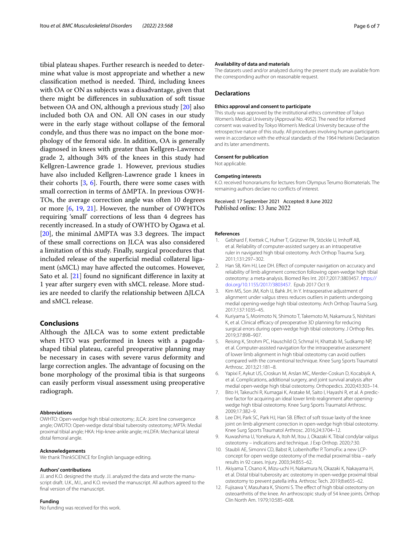tibial plateau shapes. Further research is needed to determine what value is most appropriate and whether a new classification method is needed. Third, including knees with OA or ON as subjects was a disadvantage, given that there might be diferences in subluxation of soft tissue between OA and ON, although a previous study [\[20\]](#page-6-7) also included both OA and ON. All ON cases in our study were in the early stage without collapse of the femoral condyle, and thus there was no impact on the bone morphology of the femoral side. In addition, OA is generally diagnosed in knees with greater than Kellgren-Lawrence grade 2, although 34% of the knees in this study had Kellgren-Lawrence grade 1. However, previous studies have also included Kellgren-Lawrence grade 1 knees in their cohorts [\[3](#page-5-4), [6\]](#page-5-1). Fourth, there were some cases with small correction in terms of ΔMPTA. In previous OWH-TOs, the average correction angle was often 10 degrees or more [\[6](#page-5-1), [19](#page-6-6), [21\]](#page-6-8). However, the number of OWHTOs requiring 'small' corrections of less than 4 degrees has recently increased. In a study of OWHTO by Ogawa et al. [[20\]](#page-6-7), the minimal  $\triangle MPTA$  was 3.3 degrees. The impact of these small corrections on JLCA was also considered a limitation of this study. Finally, surgical procedures that included release of the superficial medial collateral ligament (sMCL) may have afected the outcomes. However, Sato et al. [[21\]](#page-6-8) found no signifcant diference in laxity at 1 year after surgery even with sMCL release. More studies are needed to clarify the relationship between ΔJLCA and sMCL release.

## **Conclusions**

Although the ΔJLCA was to some extent predictable when HTO was performed in knees with a pagodashaped tibial plateau, careful preoperative planning may be necessary in cases with severe varus deformity and large correction angles. The advantage of focusing on the bone morphology of the proximal tibia is that surgeons can easily perform visual assessment using preoperative radiograph.

#### **Abbreviations**

OWHTO: Open-wedge high tibial osteotomy; JLCA: Joint line convergence angle; OWDTO: Open-wedge distal tibial tuberosity osteotomy; MPTA: Medial proximal tibial angle; HKA: Hip-knee-ankle angle; mLDFA: Mechanical lateral distal femoral angle.

#### **Acknowledgements**

We thank ThinkSCIENCE for English language editing.

#### **Authors' contributions**

J.I. and K.O. designed the study. J.I. analyzed the data and wrote the manuscript draft. U.K., M.I., and K.O. revised the manuscript. All authors agreed to the fnal version of the manuscript.

#### **Funding**

No funding was received for this work.

#### **Availability of data and materials**

The datasets used and/or analyzed during the present study are available from the corresponding author on reasonable request.

#### **Declarations**

#### **Ethics approval and consent to participate**

This study was approved by the institutional ethics committee of Tokyo Women's Medical University (Approval No. 4952). The need for informed consent was waived by Tokyo Women's Medical University because of the retrospective nature of this study. All procedures involving human participants were in accordance with the ethical standards of the 1964 Helsinki Declaration and its later amendments.

#### **Consent for publication**

Not applicable.

#### **Competing interests**

K.O. received honorariums for lectures from Olympus Terumo Biomaterials. The remaining authors declare no conficts of interest.

Received: 17 September 2021 Accepted: 8 June 2022 Published online: 13 June 2022

#### **References**

- <span id="page-5-0"></span>1. Gebhard F, Krettek C, Hufner T, Grützner PA, Stöckle U, Imhoff AB, et al. Reliability of computer-assisted surgery as an intraoperative ruler in navigated high tibial osteotomy. Arch Orthop Trauma Surg. 2011;131:297–302.
- 2. Han SB, Kim HJ, Lee DH. Efect of computer navigation on accuracy and reliability of limb alignment correction following open-wedge high tibial osteotomy: a meta-analysis. Biomed Res Int. 2017;2017:3803457. [https://](https://doi.org/10.1155/2017/3803457) [doi.org/10.1155/2017/3803457](https://doi.org/10.1155/2017/3803457). Epub 2017 Oct 9.
- <span id="page-5-4"></span>3. Kim MS, Son JM, Koh IJ, Bahk JH, In Y. Intraoperative adjustment of alignment under valgus stress reduces outliers in patients undergoing medial opening-wedge high tibial osteotomy. Arch Orthop Trauma Surg. 2017;137:1035–45.
- <span id="page-5-2"></span>4. Kuriyama S, Morimoto N, Shimoto T, Takemoto M, Nakamura S, Nishitani K, et al. Clinical efficacy of preoperative 3D planning for reducing surgical errors during open-wedge high tibial osteotomy. J Orthop Res. 2019;37:898–907.
- 5. Reising K, Strohm PC, Hauschild O, Schmal H, Khattab M, Sudkamp NP, et al. Computer-assisted navigation for the intraoperative assessment of lower limb alignment in high tibial osteotomy can avoid outliers compared with the conventional technique. Knee Surg Sports Traumatol Arthrosc. 2013;21:181–8.
- <span id="page-5-1"></span>6. Yapixi F, Aykut US, Croskun M, Arslan MC, Merder-Coskun D, Kocabiyik A, et al. Complications, additional surgery, and joint survival analysis after medial open-wedge high tibial osteotomy. Orthopedics. 2020;43:303–14.
- <span id="page-5-3"></span>7. Bito H, Takeuchi R, Kumagai K, Aratake M, Saito I, Hayashi R, et al. A predictive factor for acquiring an ideal lower limb realignment after openingwedge high tibial osteotomy. Knee Surg Sports Traumatol Arthrosc. 2009;17:382–9.
- <span id="page-5-5"></span>8. Lee DH, Park SC, Park HJ, Han SB. Effect of soft tissue laxity of the knee joint on limb alignment correction in open-wedge high tibial osteotomy. Knee Surg Sports Traumatol Arthrosc. 2016;24:3704–12.
- <span id="page-5-6"></span>9. Kuwashima U, Yonekura A, Itoh M, Itou J, Okazaki K. Tibial condylar valgus osteotomy – indications and technique. J Exp Orthop. 2020;7:30.
- <span id="page-5-7"></span>10. Staubli AE, Simonni CD, Babst R, Lobenhoffer P. TomoFix: a new LCPconcept for open wedge osteotomy of the medial proximal tibia – early results in 92 cases. Injury. 2003;34:B55–62.
- <span id="page-5-8"></span>11. Akiyama T, Osano K, Mizu-uchi H, Nakamura N, Okazaki K, Nakayama H, et al. Distal tibial tuberosity arc osteotomy in open-wedge proximal tibial osteotomy to prevent patella infra. Arthrosc Tech. 2019;8:e655–62.
- <span id="page-5-9"></span>12. Fujisawa Y, Masuhara K, Shiomi S. The efect of high tibial osteotomy on osteoarthritis of the knee. An arthroscopic study of 54 knee joints. Orthop Clin North Am. 1979;10:585–608.